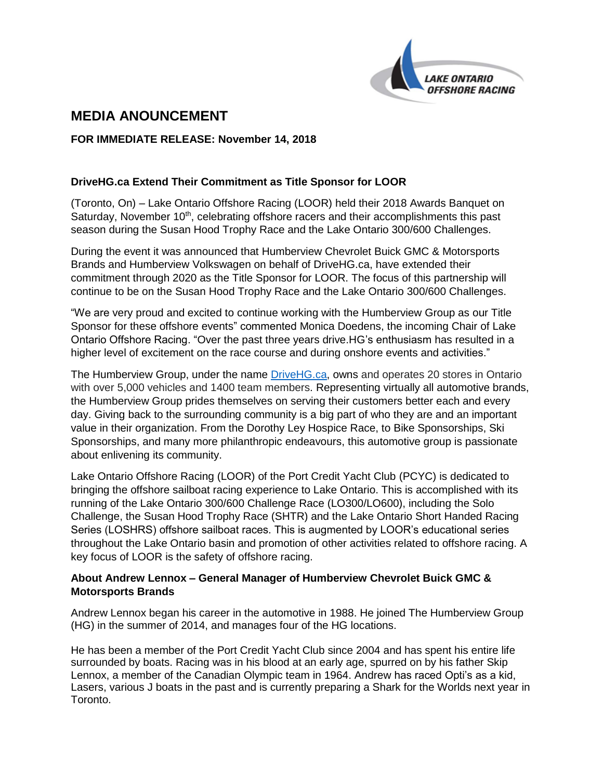

# **MEDIA ANOUNCEMENT**

#### **FOR IMMEDIATE RELEASE: November 14, 2018**

# **DriveHG.ca Extend Their Commitment as Title Sponsor for LOOR**

(Toronto, On) – Lake Ontario Offshore Racing (LOOR) held their 2018 Awards Banquet on Saturday, November 10<sup>th</sup>, celebrating offshore racers and their accomplishments this past season during the Susan Hood Trophy Race and the Lake Ontario 300/600 Challenges.

During the event it was announced that Humberview Chevrolet Buick GMC & Motorsports Brands and Humberview Volkswagen on behalf of DriveHG.ca, have extended their commitment through 2020 as the Title Sponsor for LOOR. The focus of this partnership will continue to be on the Susan Hood Trophy Race and the Lake Ontario 300/600 Challenges.

"We are very proud and excited to continue working with the Humberview Group as our Title Sponsor for these offshore events" commented Monica Doedens, the incoming Chair of Lake Ontario Offshore Racing. "Over the past three years drive.HG's enthusiasm has resulted in a higher level of excitement on the race course and during onshore events and activities."

The Humberview Group, under the name [DriveHG.ca,](http://www.drivehg.ca/) owns and operates 20 stores in Ontario with over 5,000 vehicles and 1400 team members. Representing virtually all automotive brands, the Humberview Group prides themselves on serving their customers better each and every day. Giving back to the surrounding community is a big part of who they are and an important value in their organization. From the Dorothy Ley Hospice Race, to Bike Sponsorships, Ski Sponsorships, and many more philanthropic endeavours, this automotive group is passionate about enlivening its community.

Lake Ontario Offshore Racing (LOOR) of the Port Credit Yacht Club (PCYC) is dedicated to bringing the offshore sailboat racing experience to Lake Ontario. This is accomplished with its running of the Lake Ontario 300/600 Challenge Race (LO300/LO600), including the Solo Challenge, the Susan Hood Trophy Race (SHTR) and the Lake Ontario Short Handed Racing Series (LOSHRS) offshore sailboat races. This is augmented by LOOR's educational series throughout the Lake Ontario basin and promotion of other activities related to offshore racing. A key focus of LOOR is the safety of offshore racing.

#### **About Andrew Lennox – General Manager of Humberview Chevrolet Buick GMC & Motorsports Brands**

Andrew Lennox began his career in the automotive in 1988. He joined The Humberview Group (HG) in the summer of 2014, and manages four of the HG locations.

He has been a member of the Port Credit Yacht Club since 2004 and has spent his entire life surrounded by boats. Racing was in his blood at an early age, spurred on by his father Skip Lennox, a member of the Canadian Olympic team in 1964. Andrew has raced Opti's as a kid, Lasers, various J boats in the past and is currently preparing a Shark for the Worlds next year in Toronto.